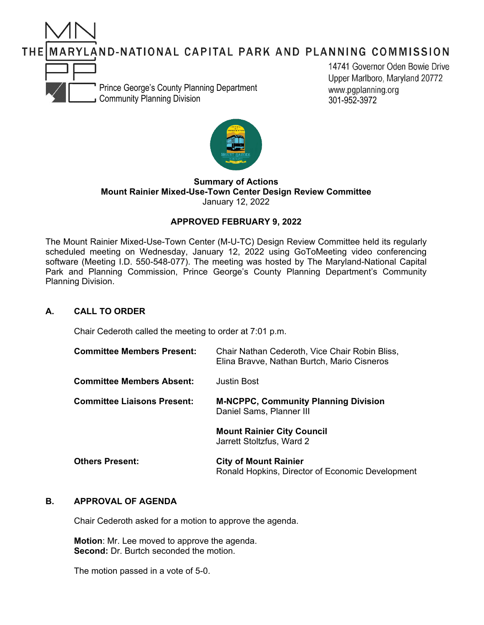MARYLAND-NATIONAL CAPITAL PARK AND PLANNING COMMISSION



14741 Governor Oden Bowie Drive Upper Marlboro, Maryland 20772 www.pgplanning.org 301-952-3972



#### **Summary of Actions Mount Rainier Mixed-Use-Town Center Design Review Committee** January 12, 2022

# **APPROVED FEBRUARY 9, 2022**

The Mount Rainier Mixed-Use-Town Center (M-U-TC) Design Review Committee held its regularly scheduled meeting on Wednesday, January 12, 2022 using GoToMeeting video conferencing software (Meeting I.D. 550-548-077). The meeting was hosted by The Maryland-National Capital Park and Planning Commission, Prince George's County Planning Department's Community Planning Division.

# **A. CALL TO ORDER**

THEI

Chair Cederoth called the meeting to order at 7:01 p.m.

| <b>Committee Members Present:</b>  | Chair Nathan Cederoth, Vice Chair Robin Bliss,<br>Elina Bravve, Nathan Burtch, Mario Cisneros |
|------------------------------------|-----------------------------------------------------------------------------------------------|
| <b>Committee Members Absent:</b>   | Justin Bost                                                                                   |
| <b>Committee Liaisons Present:</b> | <b>M-NCPPC, Community Planning Division</b><br>Daniel Sams, Planner III                       |
|                                    | <b>Mount Rainier City Council</b><br>Jarrett Stoltzfus, Ward 2                                |
| <b>Others Present:</b>             | <b>City of Mount Rainier</b><br>Ronald Hopkins, Director of Economic Development              |

## **B. APPROVAL OF AGENDA**

Chair Cederoth asked for a motion to approve the agenda.

**Motion**: Mr. Lee moved to approve the agenda. **Second:** Dr. Burtch seconded the motion.

The motion passed in a vote of 5-0.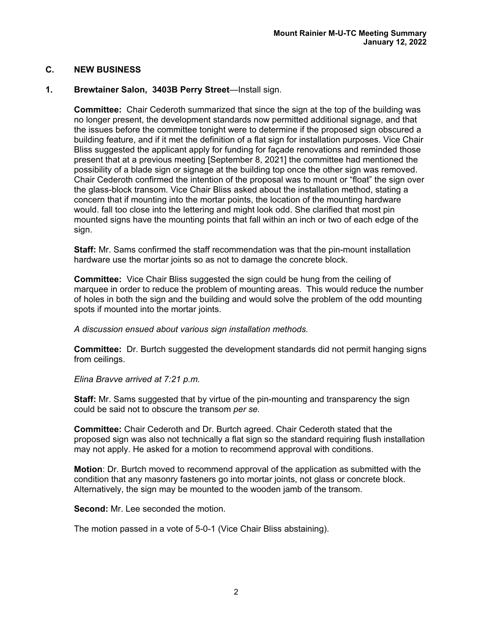# **C. NEW BUSINESS**

## **1. Brewtainer Salon, 3403B Perry Street**—Install sign.

**Committee:** Chair Cederoth summarized that since the sign at the top of the building was no longer present, the development standards now permitted additional signage, and that the issues before the committee tonight were to determine if the proposed sign obscured a building feature, and if it met the definition of a flat sign for installation purposes. Vice Chair Bliss suggested the applicant apply for funding for façade renovations and reminded those present that at a previous meeting [September 8, 2021] the committee had mentioned the possibility of a blade sign or signage at the building top once the other sign was removed. Chair Cederoth confirmed the intention of the proposal was to mount or "float" the sign over the glass-block transom. Vice Chair Bliss asked about the installation method, stating a concern that if mounting into the mortar points, the location of the mounting hardware would. fall too close into the lettering and might look odd. She clarified that most pin mounted signs have the mounting points that fall within an inch or two of each edge of the sign.

**Staff:** Mr. Sams confirmed the staff recommendation was that the pin-mount installation hardware use the mortar joints so as not to damage the concrete block.

**Committee:** Vice Chair Bliss suggested the sign could be hung from the ceiling of marquee in order to reduce the problem of mounting areas. This would reduce the number of holes in both the sign and the building and would solve the problem of the odd mounting spots if mounted into the mortar joints.

*A discussion ensued about various sign installation methods.*

**Committee:** Dr. Burtch suggested the development standards did not permit hanging signs from ceilings.

*Elina Bravve arrived at 7:21 p.m.*

**Staff:** Mr. Sams suggested that by virtue of the pin-mounting and transparency the sign could be said not to obscure the transom *per se.*

**Committee:** Chair Cederoth and Dr. Burtch agreed. Chair Cederoth stated that the proposed sign was also not technically a flat sign so the standard requiring flush installation may not apply. He asked for a motion to recommend approval with conditions.

**Motion**: Dr. Burtch moved to recommend approval of the application as submitted with the condition that any masonry fasteners go into mortar joints, not glass or concrete block. Alternatively, the sign may be mounted to the wooden jamb of the transom.

**Second:** Mr. Lee seconded the motion.

The motion passed in a vote of 5-0-1 (Vice Chair Bliss abstaining).